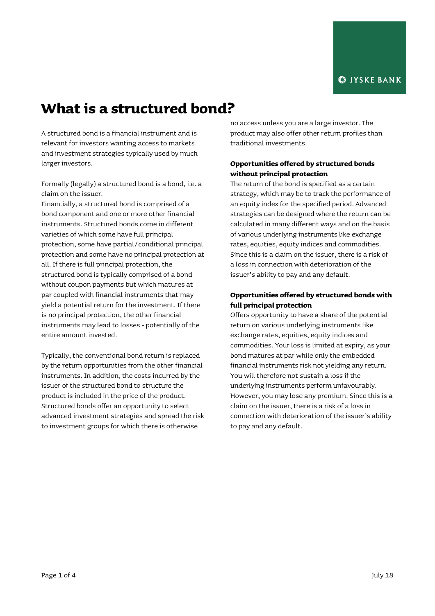# **What is a structured bond?**

A structured bond is a financial instrument and is relevant for investors wanting access to markets and investment strategies typically used by much larger investors.

Formally (legally) a structured bond is a bond, i.e. a claim on the issuer.

Financially, a structured bond is comprised of a bond component and one or more other financial instruments. Structured bonds come in different varieties of which some have full principal protection, some have partial/conditional principal protection and some have no principal protection at all. If there is full principal protection, the structured bond is typically comprised of a bond without coupon payments but which matures at par coupled with financial instruments that may yield a potential return for the investment. If there is no principal protection, the other financial instruments may lead to losses - potentially of the entire amount invested.

Typically, the conventional bond return is replaced by the return opportunities from the other financial instruments. In addition, the costs incurred by the issuer of the structured bond to structure the product is included in the price of the product. Structured bonds offer an opportunity to select advanced investment strategies and spread the risk to investment groups for which there is otherwise

no access unless you are a large investor. The product may also offer other return profiles than traditional investments.

## **Opportunities offered by structured bonds without principal protection**

The return of the bond is specified as a certain strategy, which may be to track the performance of an equity index for the specified period. Advanced strategies can be designed where the return can be calculated in many different ways and on the basis of various underlying instruments like exchange rates, equities, equity indices and commodities. Since this is a claim on the issuer, there is a risk of a loss in connection with deterioration of the issuer's ability to pay and any default.

# **Opportunities offered by structured bonds with full principal protection**

Offers opportunity to have a share of the potential return on various underlying instruments like exchange rates, equities, equity indices and commodities. Your loss is limited at expiry, as your bond matures at par while only the embedded financial instruments risk not yielding any return. You will therefore not sustain a loss if the underlying instruments perform unfavourably. However, you may lose any premium. Since this is a claim on the issuer, there is a risk of a loss in connection with deterioration of the issuer's ability to pay and any default.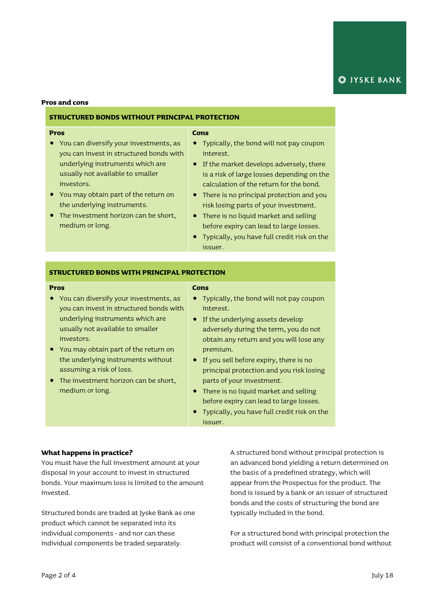#### **Pros and cons**

investors.

medium or long.

## **STRUCTURED BONDS WITHOUT PRINCIPAL PROTECTION**

 You can diversify your investments, as you can invest in structured bonds with underlying instruments which are usually not available to smaller

• You may obtain part of the return on the underlying instruments.

• The investment horizon can be short,

#### **Pros**

#### **Cons**

- Typically, the bond will not pay coupon interest.
- **•** If the market develops adversely, there is a risk of large losses depending on the calculation of the return for the bond.
- There is no principal protection and you risk losing parts of your investment.
- There is no liquid market and selling before expiry can lead to large losses.
- Typically, you have full credit risk on the issuer.

Typically, the bond will not pay coupon

## **STRUCTURED BONDS WITH PRINCIPAL PROTECTION**

#### **Pros**

#### **Cons**

- You can diversify your investments, as you can invest in structured bonds with underlying instruments which are usually not available to smaller investors.
- You may obtain part of the return on the underlying instruments without assuming a risk of loss.
- The investment horizon can be short, medium or long.
- interest. • If the underlying assets develop adversely during the term, you do not obtain any return and you will lose any

premium.

- If you sell before expiry, there is no principal protection and you risk losing parts of your investment.
- There is no liquid market and selling before expiry can lead to large losses.
- Typically, you have full credit risk on the issuer.

## **What happens in practice?**

You must have the full investment amount at your disposal in your account to invest in structured bonds. Your maximum loss is limited to the amount invested.

Structured bonds are traded at Jyske Bank as one product which cannot be separated into its individual components - and nor can these individual components be traded separately.

A structured bond without principal protection is an advanced bond yielding a return determined on the basis of a predefined strategy, which will appear from the Prospectus for the product. The bond is issued by a bank or an issuer of structured bonds and the costs of structuring the bond are typically included in the bond.

For a structured bond with principal protection the product will consist of a conventional bond without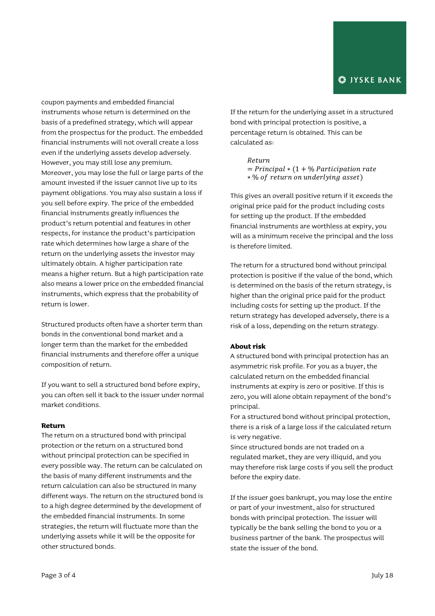coupon payments and embedded financial instruments whose return is determined on the basis of a predefined strategy, which will appear from the prospectus for the product. The embedded financial instruments will not overall create a loss even if the underlying assets develop adversely. However, you may still lose any premium. Moreover, you may lose the full or large parts of the amount invested if the issuer cannot live up to its payment obligations. You may also sustain a loss if you sell before expiry. The price of the embedded financial instruments greatly influences the product's return potential and features in other respects, for instance the product's participation rate which determines how large a share of the return on the underlying assets the investor may ultimately obtain. A higher participation rate means a higher return. But a high participation rate also means a lower price on the embedded financial instruments, which express that the probability of return is lower.

Structured products often have a shorter term than bonds in the conventional bond market and a longer term than the market for the embedded financial instruments and therefore offer a unique composition of return.

If you want to sell a structured bond before expiry, you can often sell it back to the issuer under normal market conditions.

## **Return**

The return on a structured bond with principal protection or the return on a structured bond without principal protection can be specified in every possible way. The return can be calculated on the basis of many different instruments and the return calculation can also be structured in many different ways. The return on the structured bond is to a high degree determined by the development of the embedded financial instruments. In some strategies, the return will fluctuate more than the underlying assets while it will be the opposite for other structured bonds.

If the return for the underlying asset in a structured bond with principal protection is positive, a percentage return is obtained. This can be calculated as:

> $R$ *eturn*  $= Principal * (1 + % Partitionation rate)$ ∗ % )

This gives an overall positive return if it exceeds the original price paid for the product including costs for setting up the product. If the embedded financial instruments are worthless at expiry, you will as a minimum receive the principal and the loss is therefore limited.

The return for a structured bond without principal protection is positive if the value of the bond, which is determined on the basis of the return strategy, is higher than the original price paid for the product including costs for setting up the product. If the return strategy has developed adversely, there is a risk of a loss, depending on the return strategy.

## **About risk**

A structured bond with principal protection has an asymmetric risk profile. For you as a buyer, the calculated return on the embedded financial instruments at expiry is zero or positive. If this is zero, you will alone obtain repayment of the bond's principal.

For a structured bond without principal protection, there is a risk of a large loss if the calculated return is very negative.

Since structured bonds are not traded on a regulated market, they are very illiquid, and you may therefore risk large costs if you sell the product before the expiry date.

If the issuer goes bankrupt, you may lose the entire or part of your investment, also for structured bonds with principal protection. The issuer will typically be the bank selling the bond to you or a business partner of the bank. The prospectus will state the issuer of the bond.